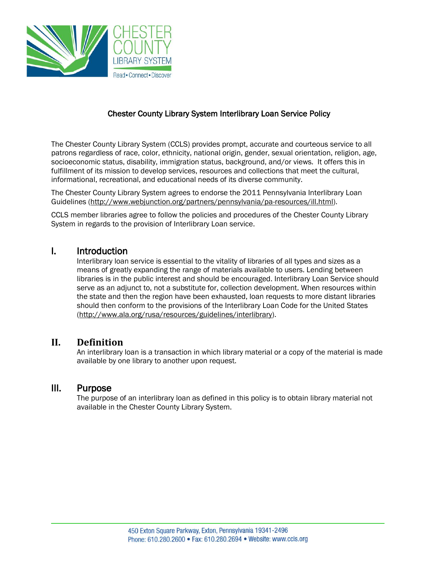

## Chester County Library System Interlibrary Loan Service Policy

The Chester County Library System (CCLS) provides prompt, accurate and courteous service to all patrons regardless of race, color, ethnicity, national origin, gender, sexual orientation, religion, age, socioeconomic status, disability, immigration status, background, and/or views*.* It offers this in fulfillment of its mission to develop services, resources and collections that meet the cultural, informational, recreational, and educational needs of its diverse community.

The Chester County Library System agrees to endorse the 2011 Pennsylvania Interlibrary Loan Guidelines [\(http://www.webjunction.org/partners/pennsylvania/pa-resources/ill.html\)](http://www.webjunction.org/partners/pennsylvania/pa-resources/ill.html).

CCLS member libraries agree to follow the policies and procedures of the Chester County Library System in regards to the provision of Interlibrary Loan service.

#### I. Introduction

Interlibrary loan service is essential to the vitality of libraries of all types and sizes as a means of greatly expanding the range of materials available to users. Lending between libraries is in the public interest and should be encouraged. Interlibrary Loan Service should serve as an adjunct to, not a substitute for, collection development. When resources within the state and then the region have been exhausted, loan requests to more distant libraries should then conform to the provisions of the Interlibrary Loan Code for the United States [\(http://www.ala.org/rusa/resources/guidelines/interlibrary\)](http://www.ala.org/rusa/resources/guidelines/interlibrary).

#### **II. Definition**

An interlibrary loan is a transaction in which library material or a copy of the material is made available by one library to another upon request.

### III. Purpose

The purpose of an interlibrary loan as defined in this policy is to obtain library material not available in the Chester County Library System.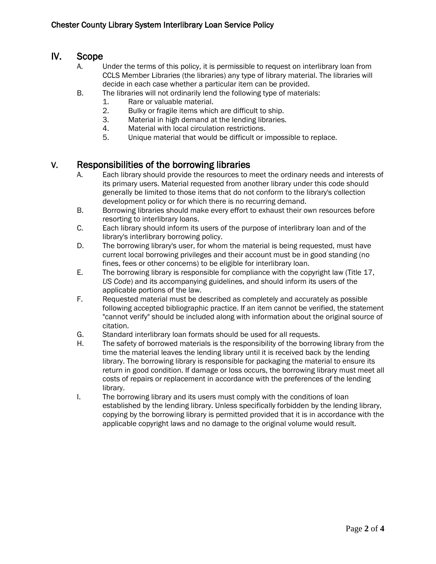# IV. Scope

- A. Under the terms of this policy, it is permissible to request on interlibrary loan from CCLS Member Libraries (the libraries) any type of library material. The libraries will decide in each case whether a particular item can be provided.
- B. The libraries will not ordinarily lend the following type of materials:
	- 1. Rare or valuable material.
	- 2. Bulky or fragile items which are difficult to ship.
	- 3. Material in high demand at the lending libraries.
	- 4. Material with local circulation restrictions.
	- 5. Unique material that would be difficult or impossible to replace.

## V. Responsibilities of the borrowing libraries

- A. Each library should provide the resources to meet the ordinary needs and interests of its primary users. Material requested from another library under this code should generally be limited to those items that do not conform to the library's collection development policy or for which there is no recurring demand.
- B. Borrowing libraries should make every effort to exhaust their own resources before resorting to interlibrary loans.
- C. Each library should inform its users of the purpose of interlibrary loan and of the library's interlibrary borrowing policy.
- D. The borrowing library's user, for whom the material is being requested, must have current local borrowing privileges and their account must be in good standing (no fines, fees or other concerns) to be eligible for interlibrary loan.
- E. The borrowing library is responsible for compliance with the copyright law (Title 17, *US Code*) and its accompanying guidelines, and should inform its users of the applicable portions of the law.
- F. Requested material must be described as completely and accurately as possible following accepted bibliographic practice. If an item cannot be verified, the statement "cannot verify" should be included along with information about the original source of citation.
- G. Standard interlibrary loan formats should be used for all requests.
- H. The safety of borrowed materials is the responsibility of the borrowing library from the time the material leaves the lending library until it is received back by the lending library. The borrowing library is responsible for packaging the material to ensure its return in good condition. If damage or loss occurs, the borrowing library must meet all costs of repairs or replacement in accordance with the preferences of the lending library.
- I. The borrowing library and its users must comply with the conditions of loan established by the lending library. Unless specifically forbidden by the lending library, copying by the borrowing library is permitted provided that it is in accordance with the applicable copyright laws and no damage to the original volume would result.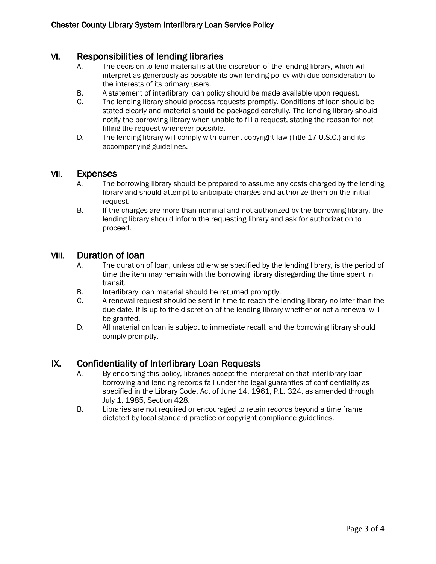## VI. Responsibilities of lending libraries

- A. The decision to lend material is at the discretion of the lending library, which will interpret as generously as possible its own lending policy with due consideration to the interests of its primary users.
- B. A statement of interlibrary loan policy should be made available upon request.
- C. The lending library should process requests promptly. Conditions of loan should be stated clearly and material should be packaged carefully. The lending library should notify the borrowing library when unable to fill a request, stating the reason for not filling the request whenever possible.
- D. The lending library will comply with current copyright law (Title 17 U.S.C.) and its accompanying guidelines.

#### VII. Expenses

- A. The borrowing library should be prepared to assume any costs charged by the lending library and should attempt to anticipate charges and authorize them on the initial request.
- B. If the charges are more than nominal and not authorized by the borrowing library, the lending library should inform the requesting library and ask for authorization to proceed.

#### VIII. Duration of loan

- A. The duration of loan, unless otherwise specified by the lending library, is the period of time the item may remain with the borrowing library disregarding the time spent in transit.
- B. Interlibrary loan material should be returned promptly.
- C. A renewal request should be sent in time to reach the lending library no later than the due date. It is up to the discretion of the lending library whether or not a renewal will be granted.
- D. All material on loan is subject to immediate recall, and the borrowing library should comply promptly.

## IX. Confidentiality of Interlibrary Loan Requests

- A. By endorsing this policy, libraries accept the interpretation that interlibrary loan borrowing and lending records fall under the legal guaranties of confidentiality as specified in the Library Code, Act of June 14, 1961, P.L. 324, as amended through July 1, 1985, Section 428.
- B. Libraries are not required or encouraged to retain records beyond a time frame dictated by local standard practice or copyright compliance guidelines.